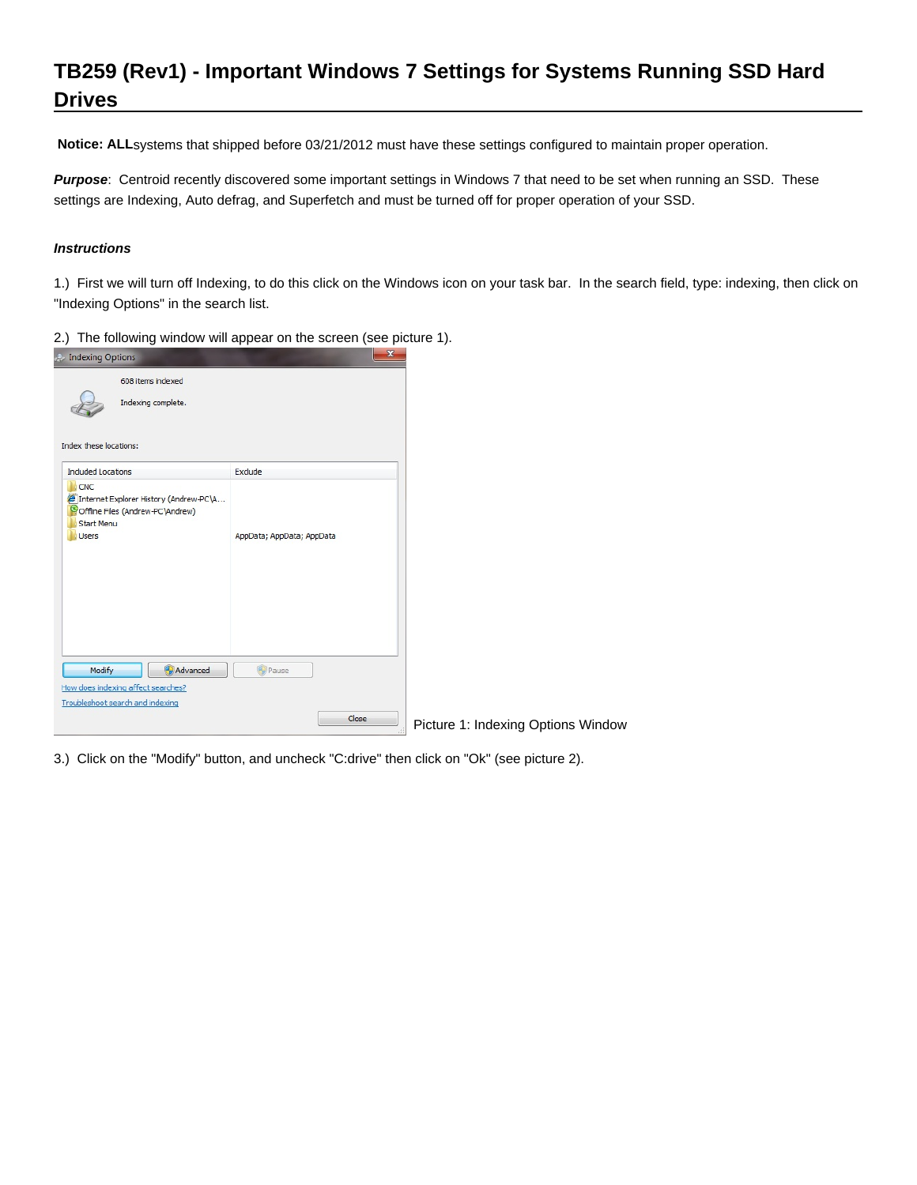## **TB259 (Rev1) - Important Windows 7 Settings for Systems Running SSD Hard Drives**

**Notice: ALL** systems that shipped before 03/21/2012 must have these settings configured to maintain proper operation.

**Purpose**: Centroid recently discovered some important settings in Windows 7 that need to be set when running an SSD. These settings are Indexing, Auto defrag, and Superfetch and must be turned off for proper operation of your SSD.

## **Instructions**

1.) First we will turn off Indexing, to do this click on the Windows icon on your task bar. In the search field, type: indexing, then click on "Indexing Options" in the search list.



2.) The following window will appear on the screen (see picture 1).

3.) Click on the "Modify" button, and uncheck "C:drive" then click on "Ok" (see picture 2).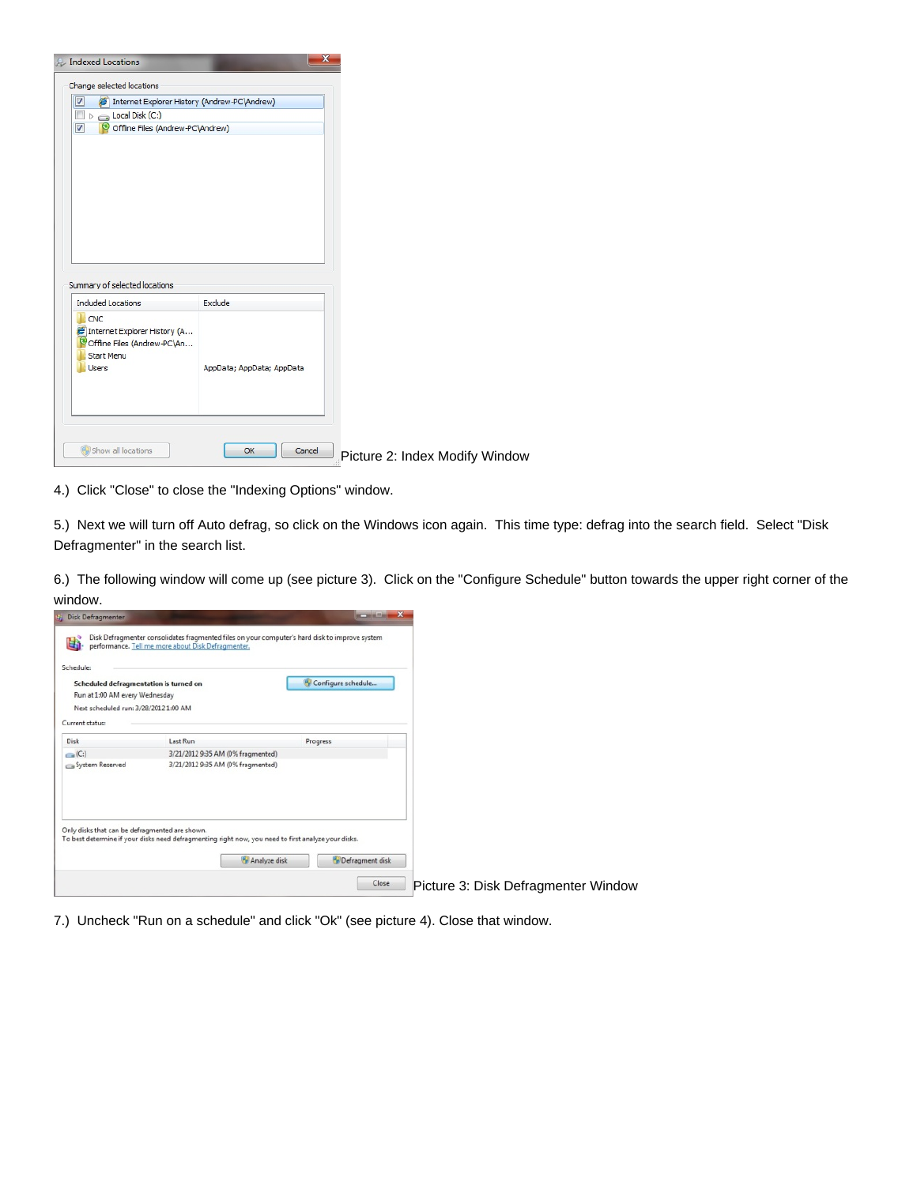| Thernet Explorer History (Andrew-PC\Andrew)<br>$\overline{\mathsf{v}}$                                         |                           |  |  |
|----------------------------------------------------------------------------------------------------------------|---------------------------|--|--|
| $\Box$<br>$\Box$ Local Disk (C:)<br>$\triangleright$                                                           |                           |  |  |
| $\bullet$<br>Offline Files (Andrew-PC\Andrew)<br>⊽                                                             |                           |  |  |
|                                                                                                                |                           |  |  |
|                                                                                                                |                           |  |  |
|                                                                                                                |                           |  |  |
| Summary of selected locations<br><b>Included Locations</b>                                                     | Exclude                   |  |  |
| <b>CNC</b><br>Internet Explorer History (A<br>Offline Files (Andrew-PC\An<br><b>Start Menu</b><br><b>Users</b> | AppData; AppData; AppData |  |  |

4.) Click "Close" to close the "Indexing Options" window.

5.) Next we will turn off Auto defrag, so click on the Windows icon again. This time type: defrag into the search field. Select "Disk Defragmenter" in the search list.

6.) The following window will come up (see picture 3). Click on the "Configure Schedule" button towards the upper right corner of the window.

| Schedule:                                                                |                                                                                                                              |                                  |                                     |
|--------------------------------------------------------------------------|------------------------------------------------------------------------------------------------------------------------------|----------------------------------|-------------------------------------|
| Scheduled defragmentation is turned on<br>Run at 1:00 AM every Wednesday |                                                                                                                              | <sup>14</sup> Configure schedule |                                     |
| Next scheduled run: 3/28/2012 1:00 AM                                    |                                                                                                                              |                                  |                                     |
| Current status:                                                          |                                                                                                                              |                                  |                                     |
| Disk                                                                     | Last Run                                                                                                                     | Progress                         |                                     |
| $\bigodot$ (C:)                                                          | 3/21/2012 9:35 AM (0% fragmented)                                                                                            |                                  |                                     |
| System Reserved                                                          | 3/21/2012 9:35 AM (0% fragmented)                                                                                            |                                  |                                     |
| Only disks that can be defragmented are shown.                           | To best determine if your disks need defragmenting right now, you need to first analyze your disks.<br><b>P</b> Analyze disk | Defragment disk                  |                                     |
|                                                                          |                                                                                                                              | Close                            | Picture 3: Disk Defragmenter Window |

7.) Uncheck "Run on a schedule" and click "Ok" (see picture 4). Close that window.